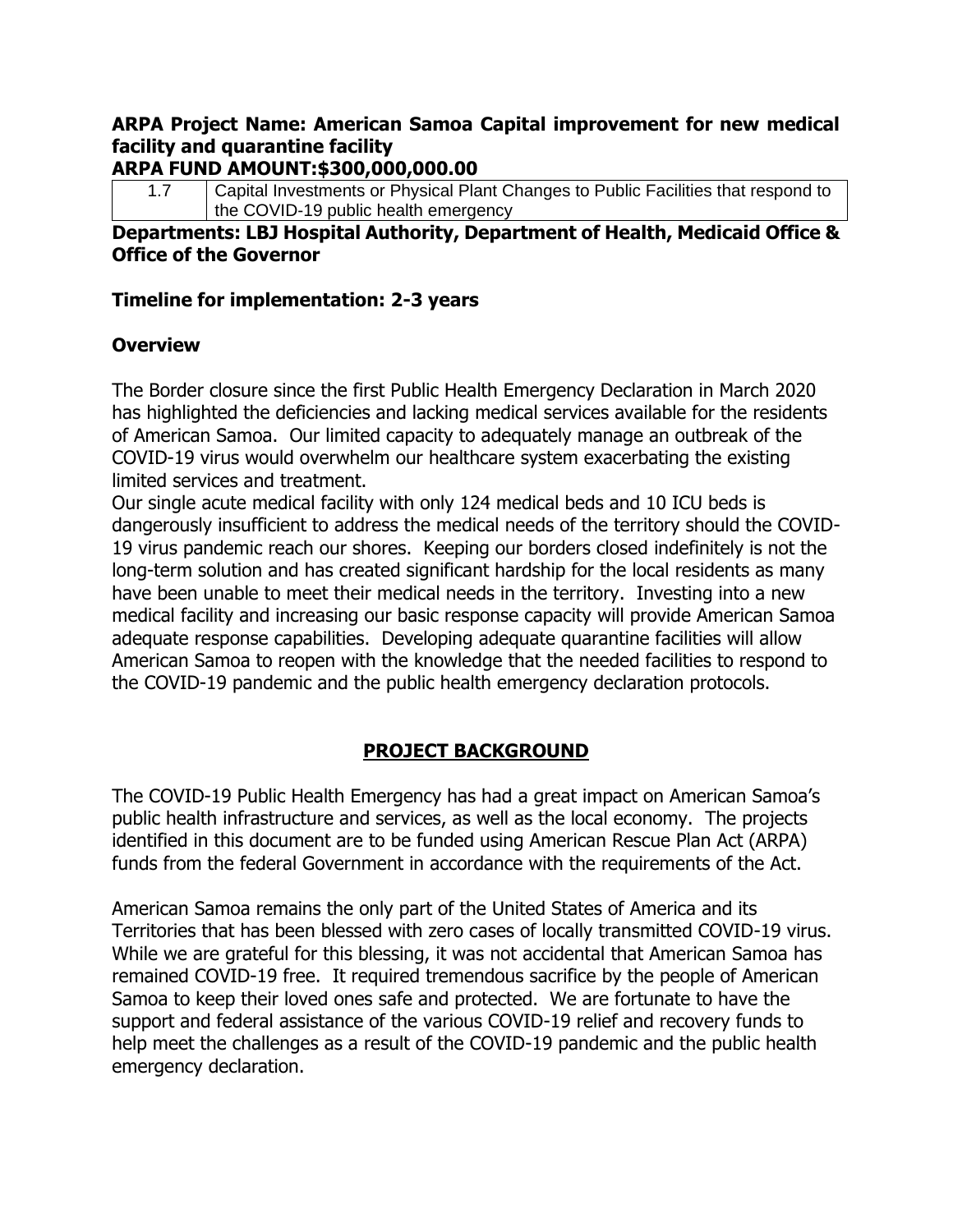## **ARPA Project Name: American Samoa Capital improvement for new medical facility and quarantine facility**

#### **ARPA FUND AMOUNT:\$300,000,000.00**

1.7 Capital Investments or Physical Plant Changes to Public Facilities that respond to the COVID-19 public health emergency

#### **Departments: LBJ Hospital Authority, Department of Health, Medicaid Office & Office of the Governor**

#### **Timeline for implementation: 2-3 years**

#### **Overview**

The Border closure since the first Public Health Emergency Declaration in March 2020 has highlighted the deficiencies and lacking medical services available for the residents of American Samoa. Our limited capacity to adequately manage an outbreak of the COVID-19 virus would overwhelm our healthcare system exacerbating the existing limited services and treatment.

Our single acute medical facility with only 124 medical beds and 10 ICU beds is dangerously insufficient to address the medical needs of the territory should the COVID-19 virus pandemic reach our shores. Keeping our borders closed indefinitely is not the long-term solution and has created significant hardship for the local residents as many have been unable to meet their medical needs in the territory. Investing into a new medical facility and increasing our basic response capacity will provide American Samoa adequate response capabilities. Developing adequate quarantine facilities will allow American Samoa to reopen with the knowledge that the needed facilities to respond to the COVID-19 pandemic and the public health emergency declaration protocols.

### **PROJECT BACKGROUND**

The COVID-19 Public Health Emergency has had a great impact on American Samoa's public health infrastructure and services, as well as the local economy. The projects identified in this document are to be funded using American Rescue Plan Act (ARPA) funds from the federal Government in accordance with the requirements of the Act.

American Samoa remains the only part of the United States of America and its Territories that has been blessed with zero cases of locally transmitted COVID-19 virus. While we are grateful for this blessing, it was not accidental that American Samoa has remained COVID-19 free. It required tremendous sacrifice by the people of American Samoa to keep their loved ones safe and protected. We are fortunate to have the support and federal assistance of the various COVID-19 relief and recovery funds to help meet the challenges as a result of the COVID-19 pandemic and the public health emergency declaration.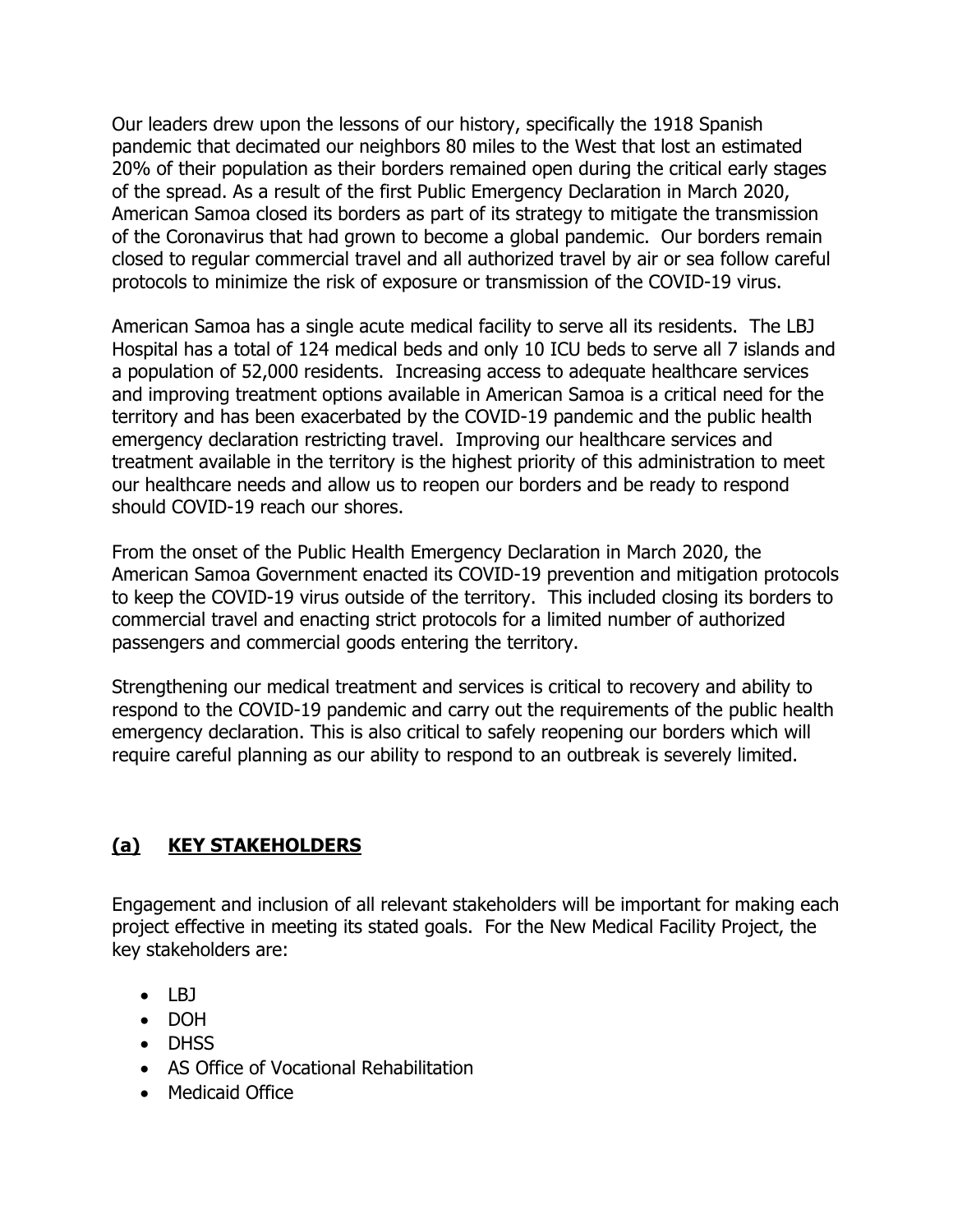Our leaders drew upon the lessons of our history, specifically the 1918 Spanish pandemic that decimated our neighbors 80 miles to the West that lost an estimated 20% of their population as their borders remained open during the critical early stages of the spread. As a result of the first Public Emergency Declaration in March 2020, American Samoa closed its borders as part of its strategy to mitigate the transmission of the Coronavirus that had grown to become a global pandemic. Our borders remain closed to regular commercial travel and all authorized travel by air or sea follow careful protocols to minimize the risk of exposure or transmission of the COVID-19 virus.

American Samoa has a single acute medical facility to serve all its residents. The LBJ Hospital has a total of 124 medical beds and only 10 ICU beds to serve all 7 islands and a population of 52,000 residents. Increasing access to adequate healthcare services and improving treatment options available in American Samoa is a critical need for the territory and has been exacerbated by the COVID-19 pandemic and the public health emergency declaration restricting travel. Improving our healthcare services and treatment available in the territory is the highest priority of this administration to meet our healthcare needs and allow us to reopen our borders and be ready to respond should COVID-19 reach our shores.

From the onset of the Public Health Emergency Declaration in March 2020, the American Samoa Government enacted its COVID-19 prevention and mitigation protocols to keep the COVID-19 virus outside of the territory. This included closing its borders to commercial travel and enacting strict protocols for a limited number of authorized passengers and commercial goods entering the territory.

Strengthening our medical treatment and services is critical to recovery and ability to respond to the COVID-19 pandemic and carry out the requirements of the public health emergency declaration. This is also critical to safely reopening our borders which will require careful planning as our ability to respond to an outbreak is severely limited.

## **(a) KEY STAKEHOLDERS**

Engagement and inclusion of all relevant stakeholders will be important for making each project effective in meeting its stated goals. For the New Medical Facility Project, the key stakeholders are:

- $\bullet$  LBI
- DOH
- DHSS
- AS Office of Vocational Rehabilitation
- Medicaid Office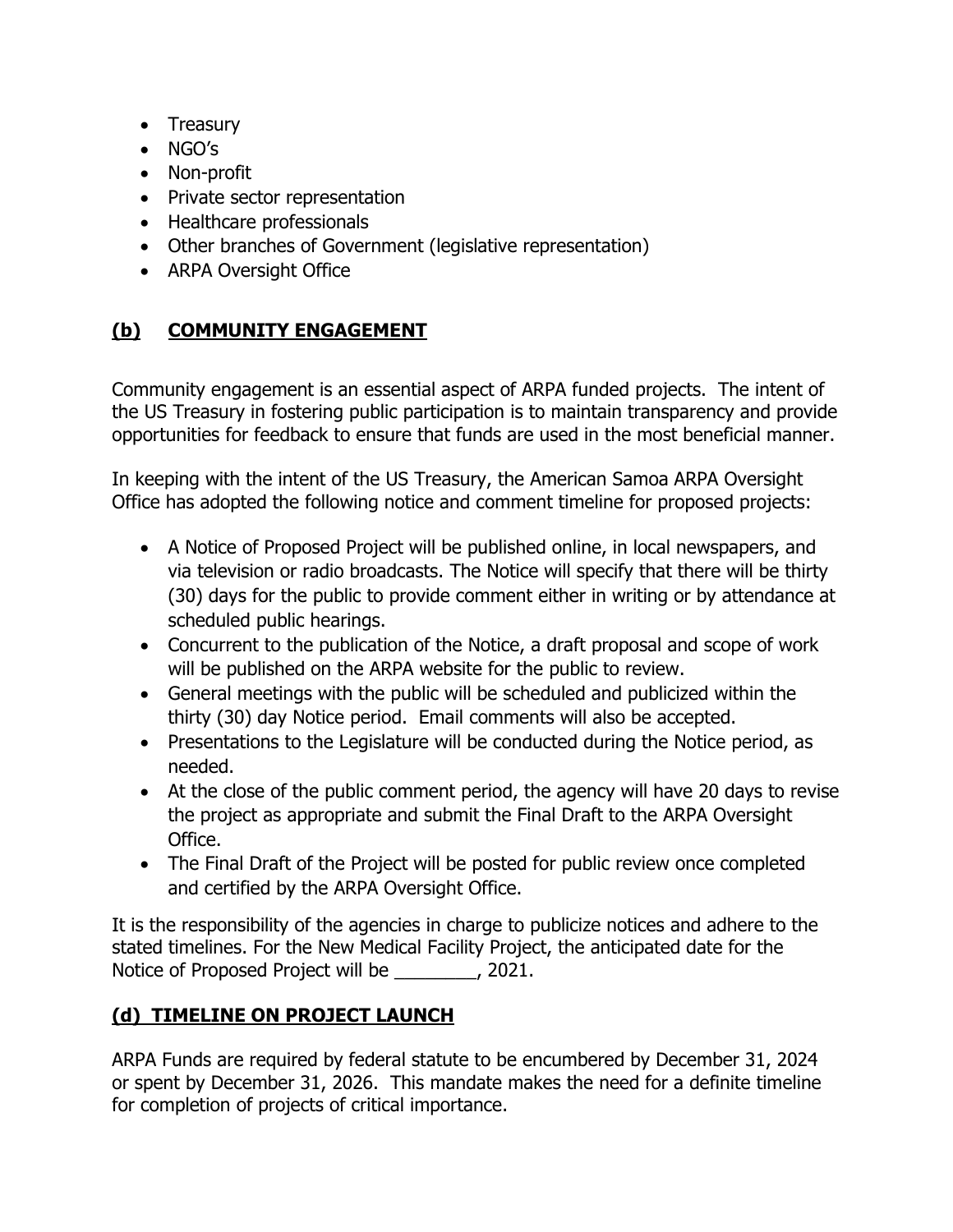- Treasury
- NGO's
- Non-profit
- Private sector representation
- Healthcare professionals
- Other branches of Government (legislative representation)
- ARPA Oversight Office

## **(b) COMMUNITY ENGAGEMENT**

Community engagement is an essential aspect of ARPA funded projects. The intent of the US Treasury in fostering public participation is to maintain transparency and provide opportunities for feedback to ensure that funds are used in the most beneficial manner.

In keeping with the intent of the US Treasury, the American Samoa ARPA Oversight Office has adopted the following notice and comment timeline for proposed projects:

- A Notice of Proposed Project will be published online, in local newspapers, and via television or radio broadcasts. The Notice will specify that there will be thirty (30) days for the public to provide comment either in writing or by attendance at scheduled public hearings.
- Concurrent to the publication of the Notice, a draft proposal and scope of work will be published on the ARPA website for the public to review.
- General meetings with the public will be scheduled and publicized within the thirty (30) day Notice period. Email comments will also be accepted.
- Presentations to the Legislature will be conducted during the Notice period, as needed.
- At the close of the public comment period, the agency will have 20 days to revise the project as appropriate and submit the Final Draft to the ARPA Oversight Office.
- The Final Draft of the Project will be posted for public review once completed and certified by the ARPA Oversight Office.

It is the responsibility of the agencies in charge to publicize notices and adhere to the stated timelines. For the New Medical Facility Project, the anticipated date for the Notice of Proposed Project will be \_\_\_\_\_\_\_\_, 2021.

## **(d) TIMELINE ON PROJECT LAUNCH**

ARPA Funds are required by federal statute to be encumbered by December 31, 2024 or spent by December 31, 2026. This mandate makes the need for a definite timeline for completion of projects of critical importance.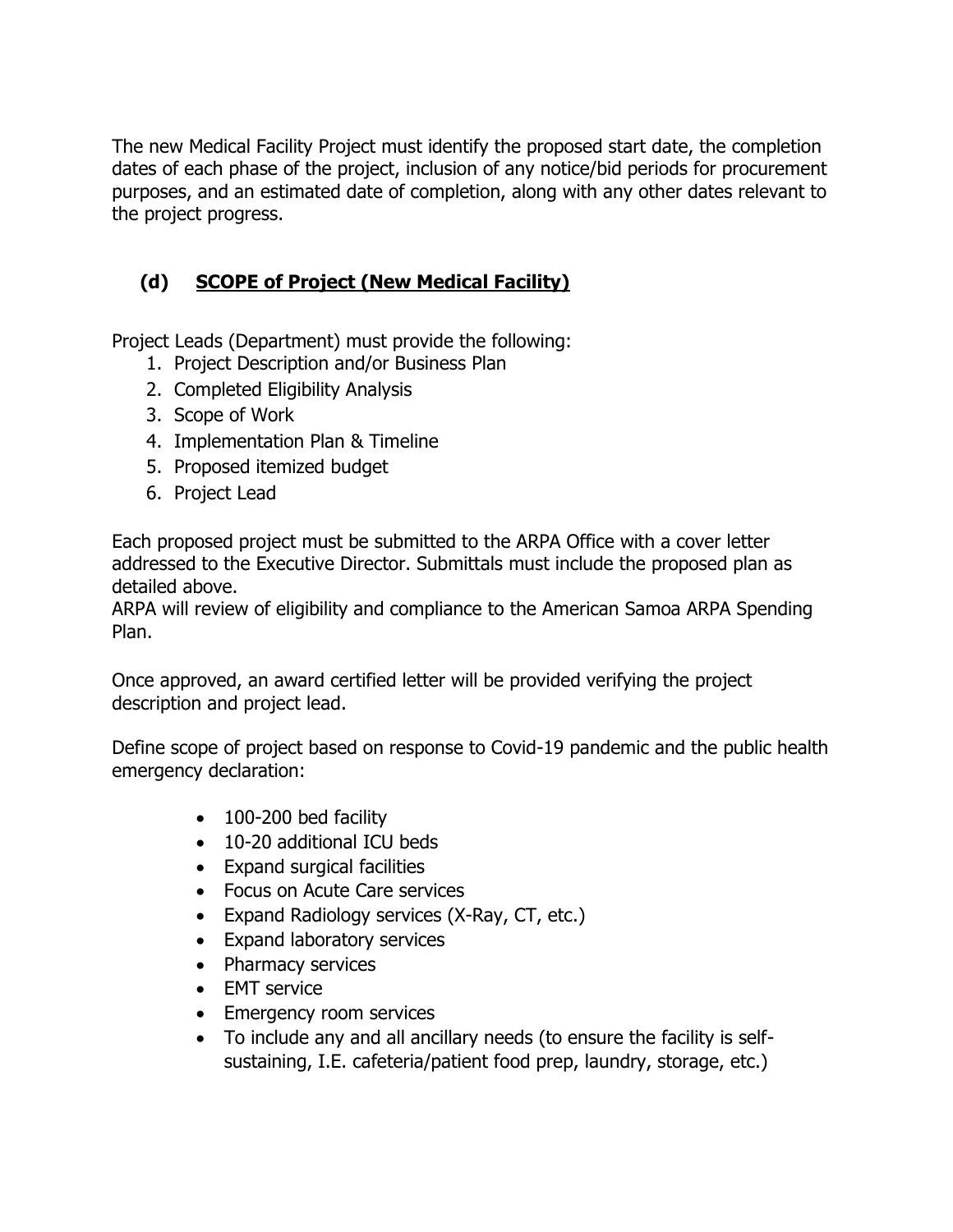The new Medical Facility Project must identify the proposed start date, the completion dates of each phase of the project, inclusion of any notice/bid periods for procurement purposes, and an estimated date of completion, along with any other dates relevant to the project progress.

# **(d) SCOPE of Project (New Medical Facility)**

Project Leads (Department) must provide the following:

- 1. Project Description and/or Business Plan
- 2. Completed Eligibility Analysis
- 3. Scope of Work
- 4. Implementation Plan & Timeline
- 5. Proposed itemized budget
- 6. Project Lead

Each proposed project must be submitted to the ARPA Office with a cover letter addressed to the Executive Director. Submittals must include the proposed plan as detailed above.

ARPA will review of eligibility and compliance to the American Samoa ARPA Spending Plan.

Once approved, an award certified letter will be provided verifying the project description and project lead.

Define scope of project based on response to Covid-19 pandemic and the public health emergency declaration:

- 100-200 bed facility
- 10-20 additional ICU beds
- Expand surgical facilities
- Focus on Acute Care services
- Expand Radiology services (X-Ray, CT, etc.)
- Expand laboratory services
- Pharmacy services
- EMT service
- Emergency room services
- To include any and all ancillary needs (to ensure the facility is selfsustaining, I.E. cafeteria/patient food prep, laundry, storage, etc.)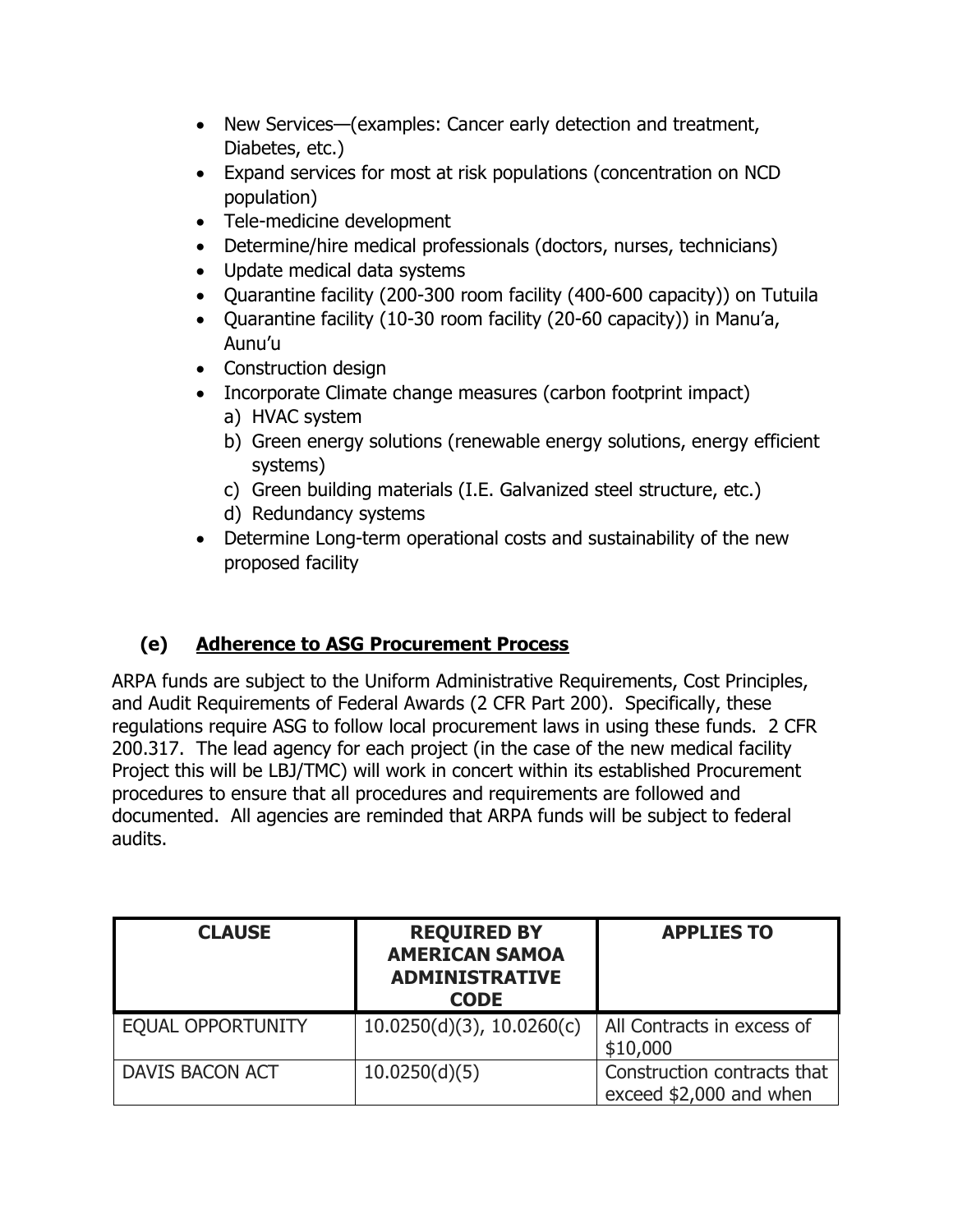- New Services—(examples: Cancer early detection and treatment, Diabetes, etc.)
- Expand services for most at risk populations (concentration on NCD population)
- Tele-medicine development
- Determine/hire medical professionals (doctors, nurses, technicians)
- Update medical data systems
- Quarantine facility (200-300 room facility (400-600 capacity)) on Tutuila
- Quarantine facility (10-30 room facility (20-60 capacity)) in Manu'a, Aunu'u
- Construction design
- Incorporate Climate change measures (carbon footprint impact)
	- a) HVAC system
	- b) Green energy solutions (renewable energy solutions, energy efficient systems)
	- c) Green building materials (I.E. Galvanized steel structure, etc.)
	- d) Redundancy systems
- Determine Long-term operational costs and sustainability of the new proposed facility

# **(e) Adherence to ASG Procurement Process**

ARPA funds are subject to the Uniform Administrative Requirements, Cost Principles, and Audit Requirements of Federal Awards (2 CFR Part 200). Specifically, these regulations require ASG to follow local procurement laws in using these funds. 2 CFR 200.317. The lead agency for each project (in the case of the new medical facility Project this will be LBJ/TMC) will work in concert within its established Procurement procedures to ensure that all procedures and requirements are followed and documented. All agencies are reminded that ARPA funds will be subject to federal audits.

| <b>CLAUSE</b>            | <b>REQUIRED BY</b><br><b>AMERICAN SAMOA</b><br><b>ADMINISTRATIVE</b><br><b>CODE</b> | <b>APPLIES TO</b>                                      |
|--------------------------|-------------------------------------------------------------------------------------|--------------------------------------------------------|
| <b>EQUAL OPPORTUNITY</b> | $10.0250(d)(3)$ , $10.0260(c)$                                                      | All Contracts in excess of<br>\$10,000                 |
| <b>DAVIS BACON ACT</b>   | 10.0250(d)(5)                                                                       | Construction contracts that<br>exceed \$2,000 and when |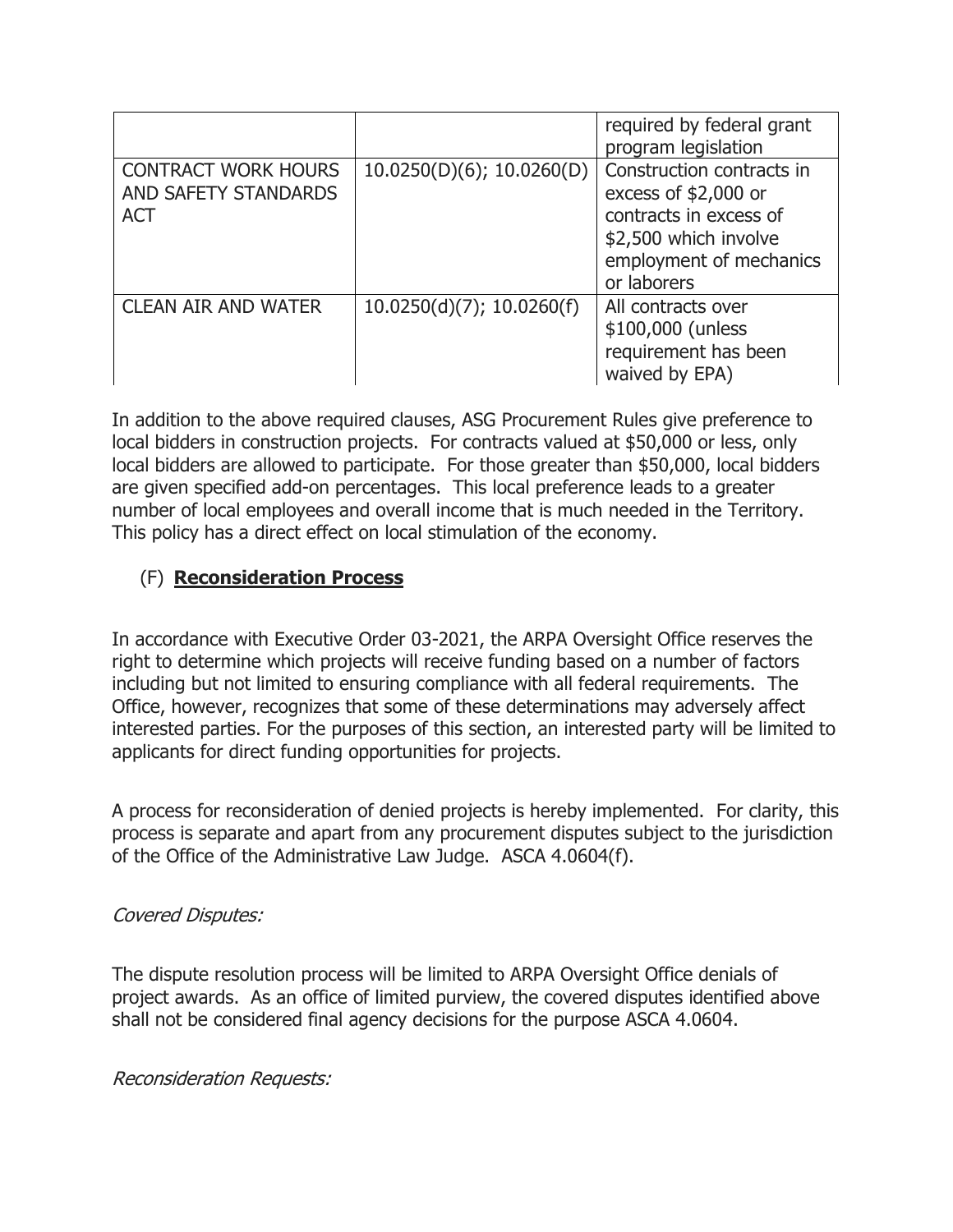|                                                                  |                              | required by federal grant<br>program legislation                                                                                               |
|------------------------------------------------------------------|------------------------------|------------------------------------------------------------------------------------------------------------------------------------------------|
| <b>CONTRACT WORK HOURS</b><br>AND SAFETY STANDARDS<br><b>ACT</b> | $10.0250(D)(6)$ ; 10.0260(D) | Construction contracts in<br>excess of \$2,000 or<br>contracts in excess of<br>\$2,500 which involve<br>employment of mechanics<br>or laborers |
| <b>CLEAN AIR AND WATER</b>                                       | 10.0250(d)(7); 10.0260(f)    | All contracts over<br>\$100,000 (unless<br>requirement has been<br>waived by EPA)                                                              |

In addition to the above required clauses, ASG Procurement Rules give preference to local bidders in construction projects. For contracts valued at \$50,000 or less, only local bidders are allowed to participate. For those greater than \$50,000, local bidders are given specified add-on percentages. This local preference leads to a greater number of local employees and overall income that is much needed in the Territory. This policy has a direct effect on local stimulation of the economy.

### (F) **Reconsideration Process**

In accordance with Executive Order 03-2021, the ARPA Oversight Office reserves the right to determine which projects will receive funding based on a number of factors including but not limited to ensuring compliance with all federal requirements. The Office, however, recognizes that some of these determinations may adversely affect interested parties. For the purposes of this section, an interested party will be limited to applicants for direct funding opportunities for projects.

A process for reconsideration of denied projects is hereby implemented. For clarity, this process is separate and apart from any procurement disputes subject to the jurisdiction of the Office of the Administrative Law Judge. ASCA 4.0604(f).

### Covered Disputes:

The dispute resolution process will be limited to ARPA Oversight Office denials of project awards. As an office of limited purview, the covered disputes identified above shall not be considered final agency decisions for the purpose ASCA 4.0604.

### Reconsideration Requests: